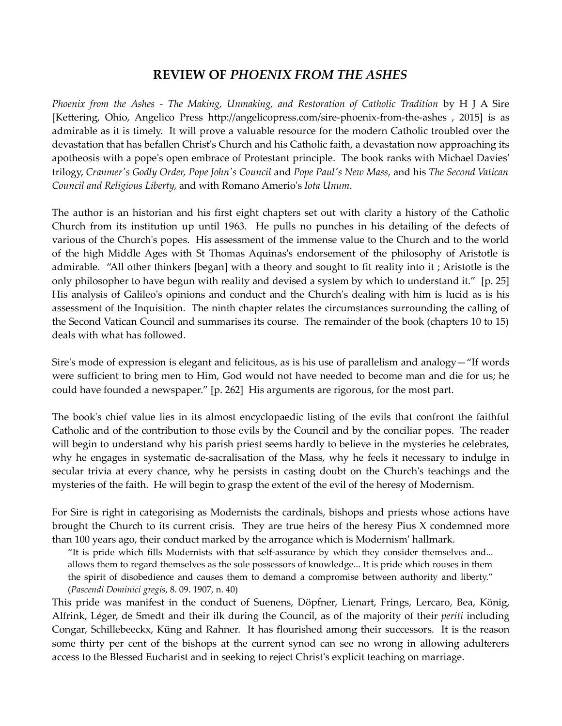## REVIEW OF PHOENIX FROM THE ASHES

Phoenix from the Ashes - The Making, Unmaking, and Restoration of Catholic Tradition by H J A Sire [Kettering, Ohio, Angelico Press http://angelicopress.com/sire-phoenix-from-the-ashes , 2015] is as admirable as it is timely. It will prove a valuable resource for the modern Catholic troubled over the devastation that has befallen Christ's Church and his Catholic faith, a devastation now approaching its apotheosis with a pope's open embrace of Protestant principle. The book ranks with Michael Davies' trilogy, Cranmer's Godly Order, Pope John's Council and Pope Paul's New Mass, and his The Second Vatican Council and Religious Liberty, and with Romano Amerio's Iota Unum.

The author is an historian and his first eight chapters set out with clarity a history of the Catholic Church from its institution up until 1963. He pulls no punches in his detailing of the defects of various of the Church's popes. His assessment of the immense value to the Church and to the world of the high Middle Ages with St Thomas Aquinas's endorsement of the philosophy of Aristotle is admirable. "All other thinkers [began] with a theory and sought to fit reality into it ; Aristotle is the only philosopher to have begun with reality and devised a system by which to understand it." [p. 25] His analysis of Galileo's opinions and conduct and the Church's dealing with him is lucid as is his assessment of the Inquisition. The ninth chapter relates the circumstances surrounding the calling of the Second Vatican Council and summarises its course. The remainder of the book (chapters 10 to 15) deals with what has followed.

Sire's mode of expression is elegant and felicitous, as is his use of parallelism and analogy—"If words were sufficient to bring men to Him, God would not have needed to become man and die for us; he could have founded a newspaper." [p. 262] His arguments are rigorous, for the most part.

The book's chief value lies in its almost encyclopaedic listing of the evils that confront the faithful Catholic and of the contribution to those evils by the Council and by the conciliar popes. The reader will begin to understand why his parish priest seems hardly to believe in the mysteries he celebrates, why he engages in systematic de-sacralisation of the Mass, why he feels it necessary to indulge in secular trivia at every chance, why he persists in casting doubt on the Church's teachings and the mysteries of the faith. He will begin to grasp the extent of the evil of the heresy of Modernism.

For Sire is right in categorising as Modernists the cardinals, bishops and priests whose actions have brought the Church to its current crisis. They are true heirs of the heresy Pius X condemned more than 100 years ago, their conduct marked by the arrogance which is Modernism' hallmark.

"It is pride which fills Modernists with that self-assurance by which they consider themselves and... allows them to regard themselves as the sole possessors of knowledge... It is pride which rouses in them the spirit of disobedience and causes them to demand a compromise between authority and liberty." (Pascendi Dominici gregis, 8. 09. 1907, n. 40)

This pride was manifest in the conduct of Suenens, Döpfner, Lienart, Frings, Lercaro, Bea, König, Alfrink, Léger, de Smedt and their ilk during the Council, as of the majority of their periti including Congar, Schillebeeckx, Küng and Rahner. It has flourished among their successors. It is the reason some thirty per cent of the bishops at the current synod can see no wrong in allowing adulterers access to the Blessed Eucharist and in seeking to reject Christ's explicit teaching on marriage.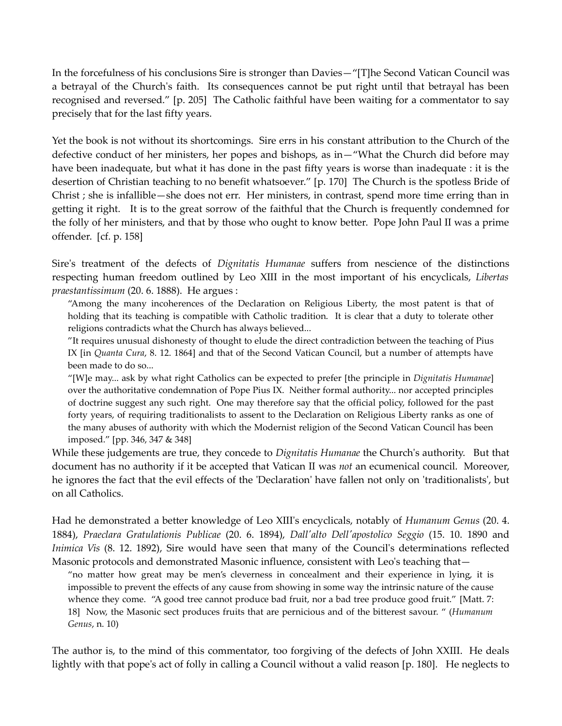In the forcefulness of his conclusions Sire is stronger than Davies—"[T]he Second Vatican Council was a betrayal of the Church's faith. Its consequences cannot be put right until that betrayal has been recognised and reversed." [p. 205] The Catholic faithful have been waiting for a commentator to say precisely that for the last fifty years.

Yet the book is not without its shortcomings. Sire errs in his constant attribution to the Church of the defective conduct of her ministers, her popes and bishops, as in—"What the Church did before may have been inadequate, but what it has done in the past fifty years is worse than inadequate : it is the desertion of Christian teaching to no benefit whatsoever." [p. 170] The Church is the spotless Bride of Christ ; she is infallible—she does not err. Her ministers, in contrast, spend more time erring than in getting it right. It is to the great sorrow of the faithful that the Church is frequently condemned for the folly of her ministers, and that by those who ought to know better. Pope John Paul II was a prime offender. [cf. p. 158]

Sire's treatment of the defects of Dignitatis Humanae suffers from nescience of the distinctions respecting human freedom outlined by Leo XIII in the most important of his encyclicals, Libertas praestantissimum (20. 6. 1888). He argues :

"Among the many incoherences of the Declaration on Religious Liberty, the most patent is that of holding that its teaching is compatible with Catholic tradition. It is clear that a duty to tolerate other religions contradicts what the Church has always believed...

"It requires unusual dishonesty of thought to elude the direct contradiction between the teaching of Pius IX [in Quanta Cura, 8. 12. 1864] and that of the Second Vatican Council, but a number of attempts have been made to do so...

"[W]e may... ask by what right Catholics can be expected to prefer [the principle in Dignitatis Humanae] over the authoritative condemnation of Pope Pius IX. Neither formal authority... nor accepted principles of doctrine suggest any such right. One may therefore say that the official policy, followed for the past forty years, of requiring traditionalists to assent to the Declaration on Religious Liberty ranks as one of the many abuses of authority with which the Modernist religion of the Second Vatican Council has been imposed." [pp. 346, 347 & 348]

While these judgements are true, they concede to *Dignitatis Humanae* the Church's authority. But that document has no authority if it be accepted that Vatican II was not an ecumenical council. Moreover, he ignores the fact that the evil effects of the 'Declaration' have fallen not only on 'traditionalists', but on all Catholics.

Had he demonstrated a better knowledge of Leo XIII's encyclicals, notably of Humanum Genus (20. 4. 1884), Praeclara Gratulationis Publicae (20. 6. 1894), Dall'alto Dell'apostolico Seggio (15. 10. 1890 and Inimica Vis (8. 12. 1892), Sire would have seen that many of the Council's determinations reflected Masonic protocols and demonstrated Masonic influence, consistent with Leo's teaching that—

"no matter how great may be men's cleverness in concealment and their experience in lying, it is impossible to prevent the effects of any cause from showing in some way the intrinsic nature of the cause whence they come. "A good tree cannot produce bad fruit, nor a bad tree produce good fruit." [Matt. 7: 18] Now, the Masonic sect produces fruits that are pernicious and of the bitterest savour. " (Humanum Genus, n. 10)

The author is, to the mind of this commentator, too forgiving of the defects of John XXIII. He deals lightly with that pope's act of folly in calling a Council without a valid reason [p. 180]. He neglects to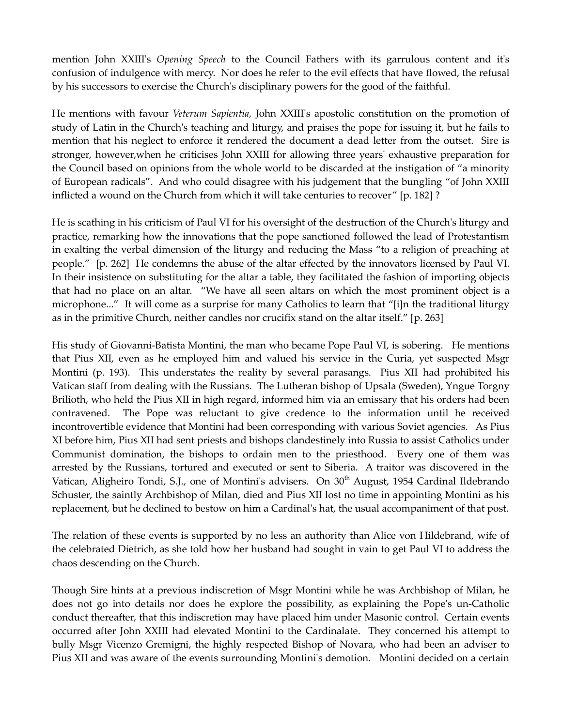mention John XXIII's *Opening Speech* to the Council Fathers with its garrulous content and it's confusion of indulgence with mercy. Nor does he refer to the evil effects that have flowed, the refusal by his successors to exercise the Church's disciplinary powers for the good of the faithful.

He mentions with favour Veterum Sapientia, John XXIII's apostolic constitution on the promotion of study of Latin in the Church's teaching and liturgy, and praises the pope for issuing it, but he fails to mention that his neglect to enforce it rendered the document a dead letter from the outset. Sire is stronger, however,when he criticises John XXIII for allowing three years' exhaustive preparation for the Council based on opinions from the whole world to be discarded at the instigation of "a minority of European radicals". And who could disagree with his judgement that the bungling "of John XXIII inflicted a wound on the Church from which it will take centuries to recover" [p. 182] ?

He is scathing in his criticism of Paul VI for his oversight of the destruction of the Church's liturgy and practice, remarking how the innovations that the pope sanctioned followed the lead of Protestantism in exalting the verbal dimension of the liturgy and reducing the Mass "to a religion of preaching at people." [p. 262] He condemns the abuse of the altar effected by the innovators licensed by Paul VI. In their insistence on substituting for the altar a table, they facilitated the fashion of importing objects that had no place on an altar. "We have all seen altars on which the most prominent object is a microphone..." It will come as a surprise for many Catholics to learn that "[i]n the traditional liturgy as in the primitive Church, neither candles nor crucifix stand on the altar itself." [p. 263]

His study of Giovanni-Batista Montini, the man who became Pope Paul VI, is sobering. He mentions that Pius XII, even as he employed him and valued his service in the Curia, yet suspected Msgr Montini (p. 193). This understates the reality by several parasangs. Pius XII had prohibited his Vatican staff from dealing with the Russians. The Lutheran bishop of Upsala (Sweden), Yngue Torgny Brilioth, who held the Pius XII in high regard, informed him via an emissary that his orders had been contravened. The Pope was reluctant to give credence to the information until he received incontrovertible evidence that Montini had been corresponding with various Soviet agencies. As Pius XI before him, Pius XII had sent priests and bishops clandestinely into Russia to assist Catholics under Communist domination, the bishops to ordain men to the priesthood. Every one of them was arrested by the Russians, tortured and executed or sent to Siberia. A traitor was discovered in the Vatican, Aligheiro Tondi, S.J., one of Montini's advisers. On 30<sup>th</sup> August, 1954 Cardinal Ildebrando Schuster, the saintly Archbishop of Milan, died and Pius XII lost no time in appointing Montini as his replacement, but he declined to bestow on him a Cardinal's hat, the usual accompaniment of that post.

The relation of these events is supported by no less an authority than Alice von Hildebrand, wife of the celebrated Dietrich, as she told how her husband had sought in vain to get Paul VI to address the chaos descending on the Church.

Though Sire hints at a previous indiscretion of Msgr Montini while he was Archbishop of Milan, he does not go into details nor does he explore the possibility, as explaining the Pope's un-Catholic conduct thereafter, that this indiscretion may have placed him under Masonic control. Certain events occurred after John XXIII had elevated Montini to the Cardinalate. They concerned his attempt to bully Msgr Vicenzo Gremigni, the highly respected Bishop of Novara, who had been an adviser to Pius XII and was aware of the events surrounding Montini's demotion. Montini decided on a certain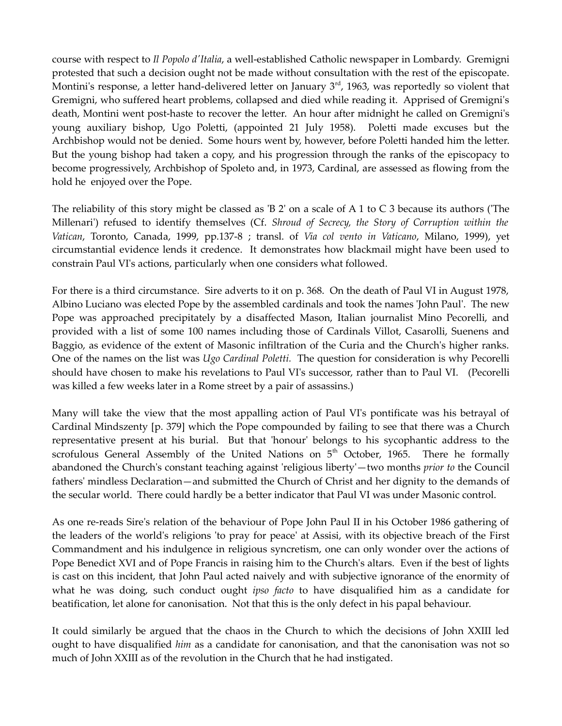course with respect to Il Popolo d'Italia, a well-established Catholic newspaper in Lombardy. Gremigni protested that such a decision ought not be made without consultation with the rest of the episcopate. Montini's response, a letter hand-delivered letter on January  $3<sup>rd</sup>$ , 1963, was reportedly so violent that Gremigni, who suffered heart problems, collapsed and died while reading it. Apprised of Gremigni's death, Montini went post-haste to recover the letter. An hour after midnight he called on Gremigni's young auxiliary bishop, Ugo Poletti, (appointed 21 July 1958). Poletti made excuses but the Archbishop would not be denied. Some hours went by, however, before Poletti handed him the letter. But the young bishop had taken a copy, and his progression through the ranks of the episcopacy to become progressively, Archbishop of Spoleto and, in 1973, Cardinal, are assessed as flowing from the hold he enjoyed over the Pope.

The reliability of this story might be classed as  $B$  2' on a scale of A 1 to C 3 because its authors (The Millenari') refused to identify themselves (Cf. Shroud of Secrecy, the Story of Corruption within the Vatican, Toronto, Canada, 1999, pp.137-8 ; transl. of Via col vento in Vaticano, Milano, 1999), yet circumstantial evidence lends it credence. It demonstrates how blackmail might have been used to constrain Paul VI's actions, particularly when one considers what followed.

For there is a third circumstance. Sire adverts to it on p. 368. On the death of Paul VI in August 1978, Albino Luciano was elected Pope by the assembled cardinals and took the names 'John Paul'. The new Pope was approached precipitately by a disaffected Mason, Italian journalist Mino Pecorelli, and provided with a list of some 100 names including those of Cardinals Villot, Casarolli, Suenens and Baggio, as evidence of the extent of Masonic infiltration of the Curia and the Church's higher ranks. One of the names on the list was Ugo Cardinal Poletti. The question for consideration is why Pecorelli should have chosen to make his revelations to Paul VI's successor, rather than to Paul VI. (Pecorelli was killed a few weeks later in a Rome street by a pair of assassins.)

Many will take the view that the most appalling action of Paul VI's pontificate was his betrayal of Cardinal Mindszenty [p. 379] which the Pope compounded by failing to see that there was a Church representative present at his burial. But that 'honour' belongs to his sycophantic address to the scrofulous General Assembly of the United Nations on  $5<sup>th</sup>$  October, 1965. There he formally abandoned the Church's constant teaching against 'religious liberty'—two months *prior to* the Council fathers' mindless Declaration—and submitted the Church of Christ and her dignity to the demands of the secular world. There could hardly be a better indicator that Paul VI was under Masonic control.

As one re-reads Sire's relation of the behaviour of Pope John Paul II in his October 1986 gathering of the leaders of the world's religions 'to pray for peace' at Assisi, with its objective breach of the First Commandment and his indulgence in religious syncretism, one can only wonder over the actions of Pope Benedict XVI and of Pope Francis in raising him to the Church's altars. Even if the best of lights is cast on this incident, that John Paul acted naively and with subjective ignorance of the enormity of what he was doing, such conduct ought *ipso facto* to have disqualified him as a candidate for beatification, let alone for canonisation. Not that this is the only defect in his papal behaviour.

It could similarly be argued that the chaos in the Church to which the decisions of John XXIII led ought to have disqualified *him* as a candidate for canonisation, and that the canonisation was not so much of John XXIII as of the revolution in the Church that he had instigated.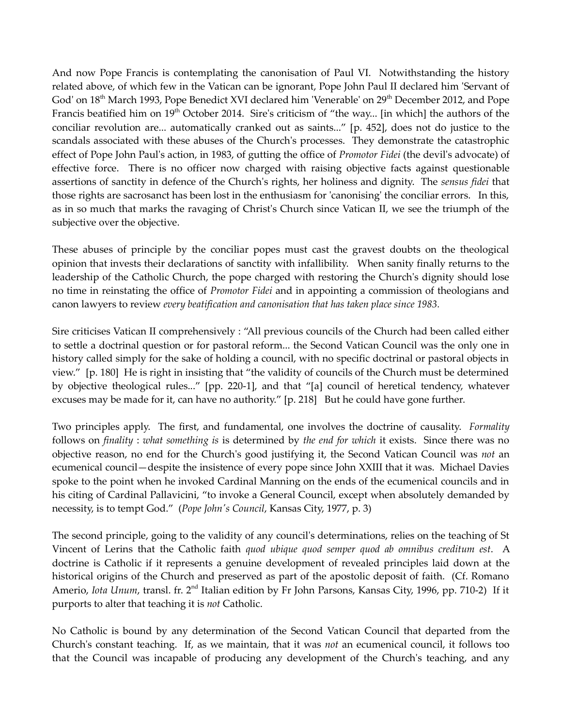And now Pope Francis is contemplating the canonisation of Paul VI. Notwithstanding the history related above, of which few in the Vatican can be ignorant, Pope John Paul II declared him 'Servant of God' on 18<sup>th</sup> March 1993, Pope Benedict XVI declared him 'Venerable' on 29<sup>th</sup> December 2012, and Pope Francis beatified him on  $19<sup>th</sup>$  October 2014. Sire's criticism of "the way... [in which] the authors of the conciliar revolution are... automatically cranked out as saints..." [p. 452], does not do justice to the scandals associated with these abuses of the Church's processes. They demonstrate the catastrophic effect of Pope John Paul's action, in 1983, of gutting the office of Promotor Fidei (the devil's advocate) of effective force. There is no officer now charged with raising objective facts against questionable assertions of sanctity in defence of the Church's rights, her holiness and dignity. The sensus fidei that those rights are sacrosanct has been lost in the enthusiasm for 'canonising' the conciliar errors. In this, as in so much that marks the ravaging of Christ's Church since Vatican II, we see the triumph of the subjective over the objective.

These abuses of principle by the conciliar popes must cast the gravest doubts on the theological opinion that invests their declarations of sanctity with infallibility. When sanity finally returns to the leadership of the Catholic Church, the pope charged with restoring the Church's dignity should lose no time in reinstating the office of *Promotor Fidei* and in appointing a commission of theologians and canon lawyers to review every beatification and canonisation that has taken place since 1983.

Sire criticises Vatican II comprehensively : "All previous councils of the Church had been called either to settle a doctrinal question or for pastoral reform... the Second Vatican Council was the only one in history called simply for the sake of holding a council, with no specific doctrinal or pastoral objects in view." [p. 180] He is right in insisting that "the validity of councils of the Church must be determined by objective theological rules..." [pp. 220-1], and that "[a] council of heretical tendency, whatever excuses may be made for it, can have no authority." [p. 218] But he could have gone further.

Two principles apply. The first, and fundamental, one involves the doctrine of causality. Formality follows on *finality : what something is is determined by the end for which it exists.* Since there was no objective reason, no end for the Church's good justifying it, the Second Vatican Council was not an ecumenical council—despite the insistence of every pope since John XXIII that it was. Michael Davies spoke to the point when he invoked Cardinal Manning on the ends of the ecumenical councils and in his citing of Cardinal Pallavicini, "to invoke a General Council, except when absolutely demanded by necessity, is to tempt God." (Pope John's Council, Kansas City, 1977, p. 3)

The second principle, going to the validity of any council's determinations, relies on the teaching of St Vincent of Lerins that the Catholic faith quod ubique quod semper quod ab omnibus creditum est. A doctrine is Catholic if it represents a genuine development of revealed principles laid down at the historical origins of the Church and preserved as part of the apostolic deposit of faith. (Cf. Romano Amerio, *Iota Unum*, transl. fr. 2<sup>nd</sup> Italian edition by Fr John Parsons, Kansas City, 1996, pp. 710-2) If it purports to alter that teaching it is not Catholic.

No Catholic is bound by any determination of the Second Vatican Council that departed from the Church's constant teaching. If, as we maintain, that it was not an ecumenical council, it follows too that the Council was incapable of producing any development of the Church's teaching, and any